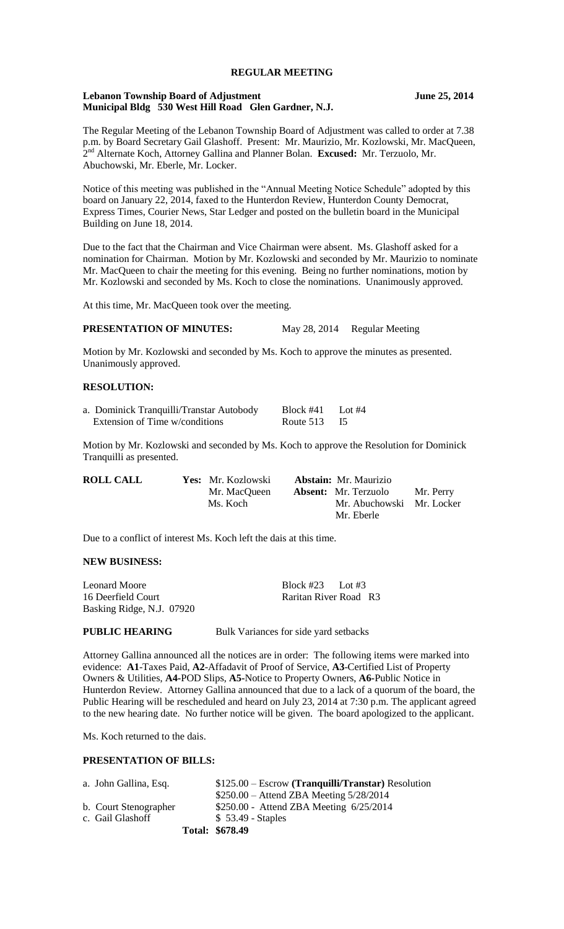# **REGULAR MEETING**

#### **Lebanon Township Board of Adjustment June 25, 2014 Municipal Bldg 530 West Hill Road Glen Gardner, N.J.**

The Regular Meeting of the Lebanon Township Board of Adjustment was called to order at 7.38 p.m. by Board Secretary Gail Glashoff. Present: Mr. Maurizio, Mr. Kozlowski, Mr. MacQueen, 2 nd Alternate Koch, Attorney Gallina and Planner Bolan. **Excused:** Mr. Terzuolo, Mr. Abuchowski, Mr. Eberle, Mr. Locker.

Notice of this meeting was published in the "Annual Meeting Notice Schedule" adopted by this board on January 22, 2014, faxed to the Hunterdon Review, Hunterdon County Democrat, Express Times, Courier News, Star Ledger and posted on the bulletin board in the Municipal Building on June 18, 2014.

Due to the fact that the Chairman and Vice Chairman were absent. Ms. Glashoff asked for a nomination for Chairman. Motion by Mr. Kozlowski and seconded by Mr. Maurizio to nominate Mr. MacQueen to chair the meeting for this evening. Being no further nominations, motion by Mr. Kozlowski and seconded by Ms. Koch to close the nominations. Unanimously approved.

At this time, Mr. MacQueen took over the meeting.

#### **PRESENTATION OF MINUTES:** May 28, 2014 Regular Meeting

Motion by Mr. Kozlowski and seconded by Ms. Koch to approve the minutes as presented. Unanimously approved.

### **RESOLUTION:**

| a. Dominick Tranquilli/Transtar Autobody | Block #41      | Lot $#4$ |
|------------------------------------------|----------------|----------|
| Extension of Time w/conditions           | Route $513$ I5 |          |

Motion by Mr. Kozlowski and seconded by Ms. Koch to approve the Resolution for Dominick Tranquilli as presented.

| <b>ROLL CALL</b> | Yes: Mr. Kozlowski | <b>Abstain:</b> Mr. Maurizio |           |
|------------------|--------------------|------------------------------|-----------|
|                  | Mr. MacOueen       | <b>Absent:</b> Mr. Terzuolo  | Mr. Perry |
|                  | Ms. Koch           | Mr. Abuchowski Mr. Locker    |           |
|                  |                    | Mr. Eberle                   |           |

Due to a conflict of interest Ms. Koch left the dais at this time.

### **NEW BUSINESS:**

| Leonard Moore             | Block #23 Lot #3      |  |
|---------------------------|-----------------------|--|
| 16 Deerfield Court        | Raritan River Road R3 |  |
| Basking Ridge, N.J. 07920 |                       |  |

#### **PUBLIC HEARING** Bulk Variances for side yard setbacks

Attorney Gallina announced all the notices are in order: The following items were marked into evidence: **A1**-Taxes Paid, **A2**-Affadavit of Proof of Service, **A3**-Certified List of Property Owners & Utilities, **A4-**POD Slips, **A5-**Notice to Property Owners, **A6-**Public Notice in Hunterdon Review. Attorney Gallina announced that due to a lack of a quorum of the board, the Public Hearing will be rescheduled and heard on July 23, 2014 at 7:30 p.m. The applicant agreed to the new hearing date. No further notice will be given. The board apologized to the applicant.

Ms. Koch returned to the dais.

# **PRESENTATION OF BILLS:**

| a. John Gallina, Esq. | $$125.00 - Escrow$ (Tranguilli/Transtar) Resolution |
|-----------------------|-----------------------------------------------------|
|                       | $$250.00 -$ Attend ZBA Meeting $5/28/2014$          |
| b. Court Stenographer | $$250.00 -$ Attend ZBA Meeting $6/25/2014$          |
| c. Gail Glashoff      | $$53.49$ - Staples                                  |
|                       | Total: \$678.49                                     |